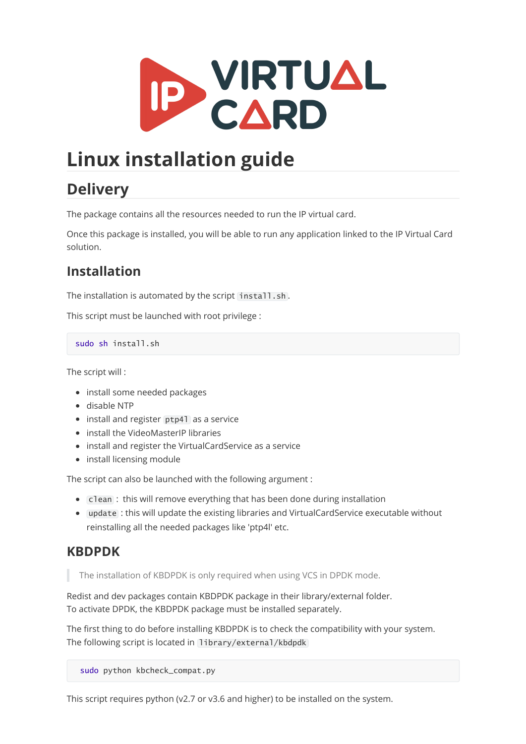

# **Linux installation guide**

## **Delivery**

The package contains all the resources needed to run the IP virtual card.

Once this package is installed, you will be able to run any application linked to the IP Virtual Card solution.

## **Installation**

The installation is automated by the script install.sh.

This script must be launched with root privilege :

sudo sh install.sh

The script will :

- install some needed packages
- disable NTP
- install and register ptp41 as a service
- install the VideoMasterIP libraries
- install and register the VirtualCardService as a service
- install licensing module

The script can also be launched with the following argument :

- Clean : this will remove everything that has been done during installation
- update : this will update the existing libraries and VirtualCardService executable without reinstalling all the needed packages like 'ptp4l' etc.

### **KBDPDK**

The installation of KBDPDK is only required when using VCS in DPDK mode.

Redist and dev packages contain KBDPDK package in their library/external folder. To activate DPDK, the KBDPDK package must be installed separately.

The first thing to do before installing KBDPDK is to check the compatibility with your system. The following script is located in library/external/kbdpdk

sudo python kbcheck\_compat.py

This script requires python (v2.7 or v3.6 and higher) to be installed on the system.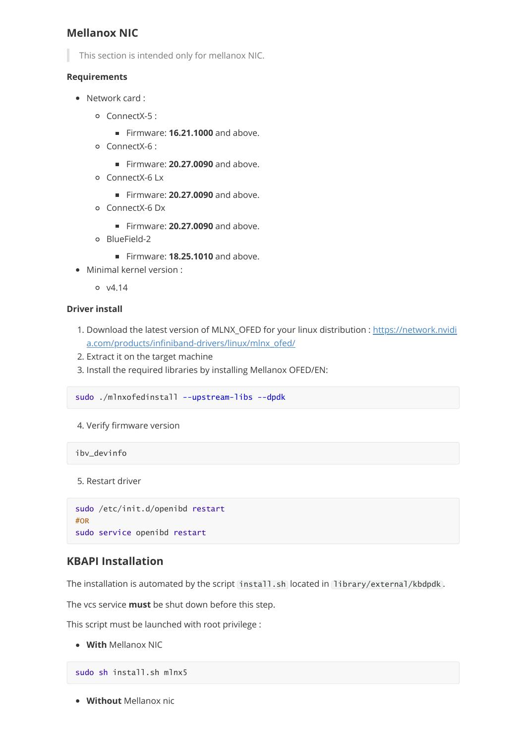### **Mellanox NIC**

This section is intended only for mellanox NIC.

#### **Requirements**

- Network card :
	- ConnectX-5 :
		- Firmware: **16.21.1000** and above.
	- ConnectX-6 :
		- Firmware: **20.27.0090** and above.
	- ConnectX-6 Lx
		- **Firmware: 20.27.0090** and above.
	- ConnectX-6 Dx
		- **Firmware: 20.27.0090** and above.
	- BlueField-2
		- Firmware: **18.25.1010** and above.
- Minimal kernel version :
	- $0 \t v4.14$

#### **Driver install**

- 1. [Download the latest version of MLNX\\_OFED for your linux distribution : https://network.nvidi](https://network.nvidia.com/products/infiniband-drivers/linux/mlnx_ofed/) a.com/products/infiniband-drivers/linux/mlnx\_ofed/
- 2. Extract it on the target machine
- 3. Install the required libraries by installing Mellanox OFED/EN:

```
sudo ./mlnxofedinstall --upstream-libs --dpdk
```
4. Verify firmware version

ibv\_devinfo

5. Restart driver

```
sudo /etc/init.d/openibd restart
#OR
sudo service openibd restart
```
### **KBAPI Installation**

The installation is automated by the script install.sh located in library/external/kbdpdk.

The vcs service **must** be shut down before this step.

This script must be launched with root privilege :

**With** Mellanox NIC

sudo sh install.sh mlnx5

**Without** Mellanox nic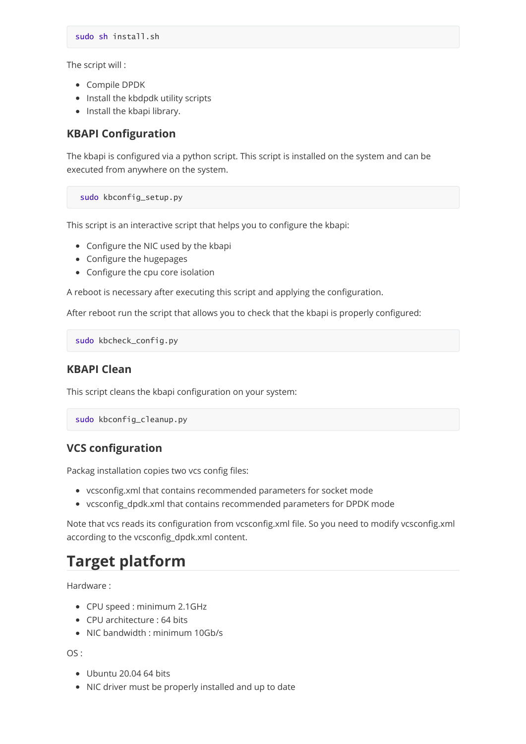The script will :

- Compile DPDK
- Install the kbdpdk utility scripts
- Install the kbapi library.

#### **KBAPI Configuration**

The kbapi is configured via a python script. This script is installed on the system and can be executed from anywhere on the system.

sudo kbconfig\_setup.py

This script is an interactive script that helps you to configure the kbapi:

- Configure the NIC used by the kbapi
- Configure the hugepages
- Configure the cpu core isolation

A reboot is necessary after executing this script and applying the configuration.

After reboot run the script that allows you to check that the kbapi is properly configured:

sudo kbcheck\_config.py

#### **KBAPI Clean**

This script cleans the kbapi configuration on your system:

```
sudo kbconfig_cleanup.py
```
### **VCS configuration**

Packag installation copies two vcs config files:

- vcsconfig.xml that contains recommended parameters for socket mode
- vcsconfig\_dpdk.xml that contains recommended parameters for DPDK mode

Note that vcs reads its configuration from vcsconfig.xml file. So you need to modify vcsconfig.xml according to the vcsconfig\_dpdk.xml content.

## **Target platform**

Hardware :

- CPU speed : minimum 2.1GHz
- CPU architecture : 64 bits
- NIC bandwidth : minimum 10Gb/s

 $OS:$ 

- Ubuntu 20.04 64 bits
- NIC driver must be properly installed and up to date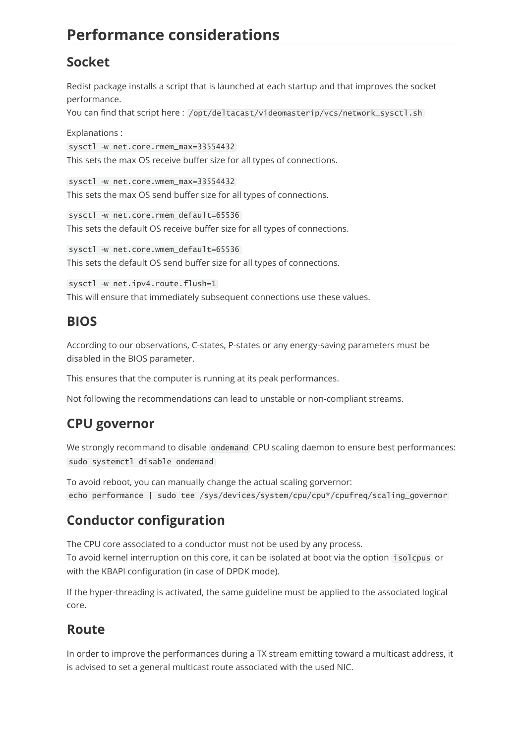## **Performance considerations**

## **Socket**

Redist package installs a script that is launched at each startup and that improves the socket performance.

You can find that script here: /opt/deltacast/videomasterip/vcs/network\_sysctl.sh

Explanations :

sysctl -w net.core.rmem\_max=33554432 This sets the max OS receive buffer size for all types of connections.

sysctl -w net.core.wmem\_max=33554432 This sets the max OS send buffer size for all types of connections.

sysctl -w net.core.rmem\_default=65536 This sets the default OS receive buffer size for all types of connections.

sysctl -w net.core.wmem\_default=65536 This sets the default OS send buffer size for all types of connections.

sysctl -w net.ipv4.route.flush=1 This will ensure that immediately subsequent connections use these values.

### **BIOS**

According to our observations, C-states, P-states or any energy-saving parameters must be disabled in the BIOS parameter.

This ensures that the computer is running at its peak performances.

Not following the recommendations can lead to unstable or non-compliant streams.

## **CPU governor**

We strongly recommand to disable ondemand CPU scaling daemon to ensure best performances: sudo systemctl disable ondemand

To avoid reboot, you can manually change the actual scaling gorvernor: echo performance | sudo tee /sys/devices/system/cpu/cpu\*/cpufreq/scaling\_governor

## **Conductor configuration**

The CPU core associated to a conductor must not be used by any process. To avoid kernel interruption on this core, it can be isolated at boot via the option isolcpus or with the KBAPI configuration (in case of DPDK mode).

If the hyper-threading is activated, the same guideline must be applied to the associated logical core.

## **Route**

In order to improve the performances during a TX stream emitting toward a multicast address, it is advised to set a general multicast route associated with the used NIC.